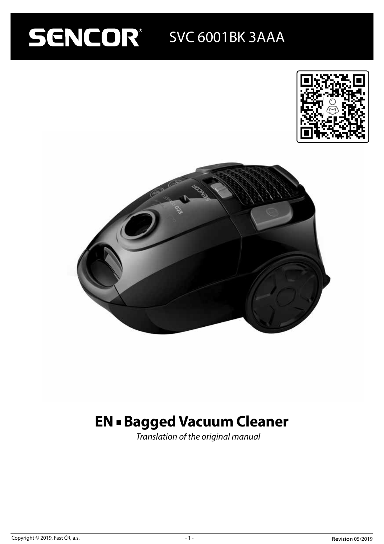# SENCOR SVC 6001BK 3AAA





# **EN - Bagged Vacuum Cleaner**

*Translation of the original manual*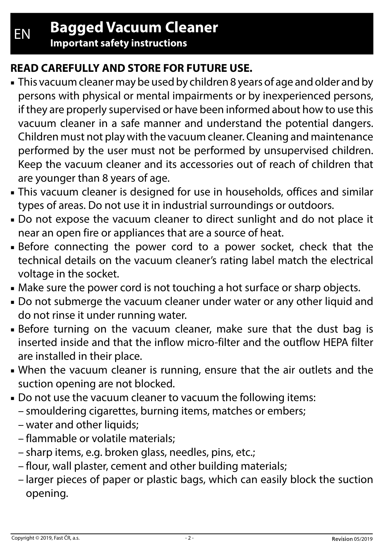**Important safety instructions**

## **READ CAREFULLY AND STORE FOR FUTURE USE.**

- This vacuum cleaner may be used by children 8 years of age and older and by persons with physical or mental impairments or by inexperienced persons, if they are properly supervised or have been informed about how to use this vacuum cleaner in a safe manner and understand the potential dangers. Children must not play with the vacuum cleaner. Cleaning and maintenance performed by the user must not be performed by unsupervised children. Keep the vacuum cleaner and its accessories out of reach of children that are younger than 8 years of age.
- **-** This vacuum cleaner is designed for use in households, offices and similar types of areas. Do not use it in industrial surroundings or outdoors.
- Do not expose the vacuum cleaner to direct sunlight and do not place it near an open fire or appliances that are a source of heat.
- Before connecting the power cord to a power socket, check that the technical details on the vacuum cleaner's rating label match the electrical voltage in the socket.
- Make sure the power cord is not touching a hot surface or sharp objects.
- Do not submerge the vacuum cleaner under water or any other liquid and do not rinse it under running water.
- Before turning on the vacuum cleaner, make sure that the dust bag is inserted inside and that the inflow micro-filter and the outflow HEPA filter are installed in their place.
- When the vacuum cleaner is running, ensure that the air outlets and the suction opening are not blocked.
- Do not use the vacuum cleaner to vacuum the following items:
	- smouldering cigarettes, burning items, matches or embers;
	- water and other liquids;
	- flammable or volatile materials;
	- sharp items, e.g. broken glass, needles, pins, etc.;
	- flour, wall plaster, cement and other building materials;
	- larger pieces of paper or plastic bags, which can easily block the suction opening.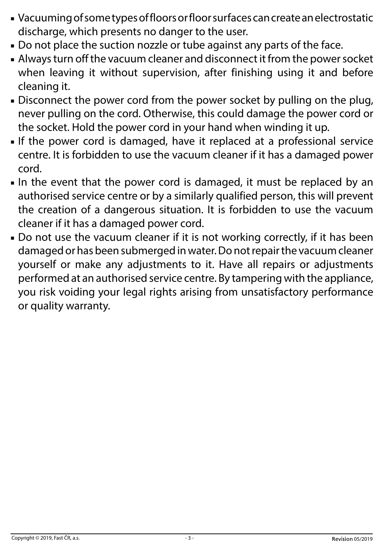- Vacuuming of some types of floors or floor surfaces can create an electrostatic discharge, which presents no danger to the user.
- Do not place the suction nozzle or tube against any parts of the face.
- Always turn off the vacuum cleaner and disconnect it from the power socket when leaving it without supervision, after finishing using it and before cleaning it.
- Disconnect the power cord from the power socket by pulling on the plug, never pulling on the cord. Otherwise, this could damage the power cord or the socket. Hold the power cord in your hand when winding it up.
- If the power cord is damaged, have it replaced at a professional service centre. It is forbidden to use the vacuum cleaner if it has a damaged power cord.
- In the event that the power cord is damaged, it must be replaced by an authorised service centre or by a similarly qualified person, this will prevent the creation of a dangerous situation. It is forbidden to use the vacuum cleaner if it has a damaged power cord.
- Do not use the vacuum cleaner if it is not working correctly, if it has been damaged or has been submerged in water. Do not repair the vacuum cleaner yourself or make any adjustments to it. Have all repairs or adjustments performed at an authorised service centre. By tampering with the appliance, you risk voiding your legal rights arising from unsatisfactory performance or quality warranty.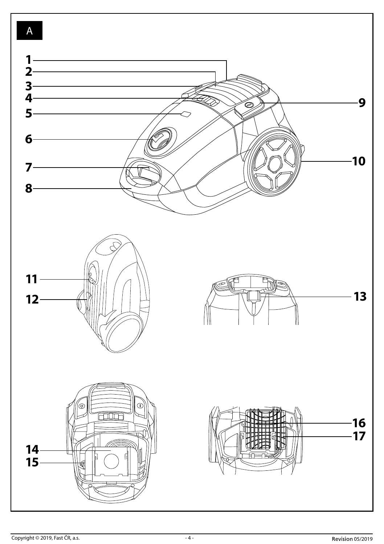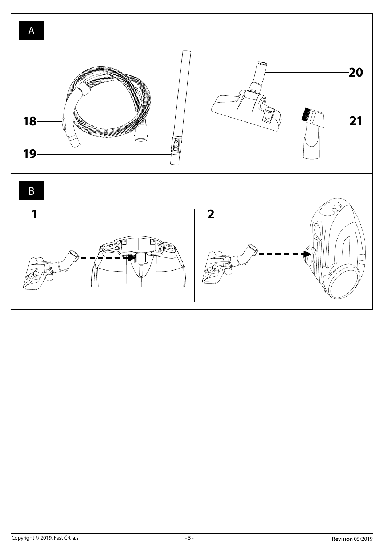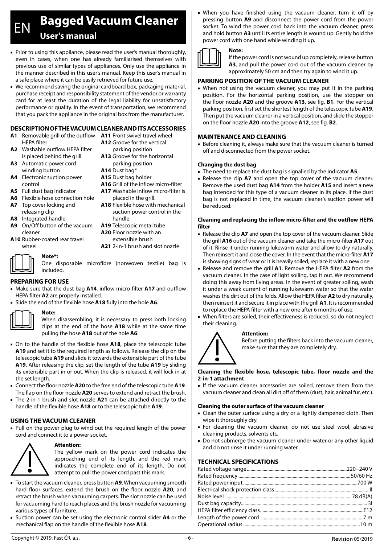## EN **Bagged Vacuum Cleaner User's manual**

- Prior to using this appliance, please read the user's manual thoroughly, even in cases, when one has already familiarised themselves with previous use of similar types of appliances. Only use the appliance in the manner described in this user's manual. Keep this user's manual in a safe place where it can be easily retrieved for future use.
- We recommend saving the original cardboard box, packaging material, purchase receipt and responsibility statement of the vendor or warranty card for at least the duration of the legal liability for unsatisfactory performance or quality. In the event of transportation, we recommend that you pack the appliance in the original box from the manufacturer.

#### **DESCRIPTION OF THE VACUUM CLEANER AND ITS ACCESSORIES**

- **A1** Removable grill of the outflow **A11** Front swivel travel wheel HEPA filter
- **A2** Washable outflow HEPA filter is placed behind the grill.
- **A3** Automatic power cord winding button
- **A4** Electronic suction power control
- **A5** Full dust bag indicator
- **A6** Flexible hose connection hole
- **A7** Top cover locking and releasing clip
- **A8** Integrated handle
- **A9** On/Off button of the vacuum
- cleaner **A10** Rubber-coated rear travel
- wheel **Note\*:**
- **A12** Groove for the vertical parking position **A13** Groove for the horizontal parking position
- **A14** Dust bag\*
- **A15** Dust bag holder
- **A16** Grill of the inflow micro-filter
- **A17** Washable inflow micro-filter is placed in the grill.
- **A18** Flexible hose with mechanical suction power control in the handle
- **A19** Telescopic metal tube **A20** Floor nozzle with an
- extensible brush
- **A21** 2-in-1 brush and slot nozzle

#### One disposable microfibre (nonwoven textile) bag is included.

#### **PREPARING FOR USE**

- Make sure that the dust bag **A14**, inflow micro-filter **A17** and outflow HEPA filter **A2** are properly installed.
- Slide the end of the flexible hose **A18** fully into the hole **A6**.



#### **Note:**

When disassembling, it is necessary to press both locking clips at the end of the hose **A18** while at the same time pulling the hose **A18** out of the hole **A6**.

- On to the handle of the flexible hose **A18**, place the telescopic tube **A19** and set it to the required length as follows. Release the clip on the telescopic tube **A19** and slide it towards the extensible part of the tube **A19**. After releasing the clip, set the length of the tube **A19** by sliding its extensible part in or out. When the clip is released, it will lock in at the set length.
- Connect the floor nozzle **A20** to the free end of the telescopic tube **A19**. The flap on the floor nozzle **A20** serves to extend and retract the brush.
- The 2-in-1 brush and slot nozzle **A21** can be attached directly to the handle of the flexible hose **A18** or to the telescopic tube **A19**.

#### **USING THE VACUUM CLEANER**

■ Pull on the power plug to wind out the required length of the power cord and connect it to a power socket.



#### **Attention:**

The yellow mark on the power cord indicates the approaching end of its length, and the red mark indicates the complete end of its length. Do not attempt to pull the power cord past this mark.

- To start the vacuum cleaner, press button **A9**. When vacuuming smooth hard floor surfaces, extend the brush on the floor nozzle **A20**, and retract the brush when vacuuming carpets. The slot nozzle can be used for vacuuming hard to reach places and the brush nozzle for vacuuming various types of furniture.
- Suction power can be set using the electronic control slider **A4** or the mechanical flap on the handle of the flexible hose **A18**.

When you have finished using the vacuum cleaner, turn it off by pressing button **A9** and disconnect the power cord from the power socket. To wind the power cord back into the vacuum cleaner, press and hold button **A3** until its entire length is wound up. Gently hold the power cord with one hand while winding it up.



#### **Note:**

If the power cord is not wound up completely, release button **A3**, and pull the power cord out of the vacuum cleaner by approximately 50 cm and then try again to wind it up.

#### **PARKING POSITION OF THE VACUUM CLEANER**

■ When not using the vacuum cleaner, you may put it in the parking position. For the horizontal parking position, use the stopper on the floor nozzle **A20** and the groove **A13**, see fig. **B1**. For the vertical parking position, first set the shortest length of the telescopic tube **A19**. Then put the vacuum cleaner in a vertical position, and slide the stopper on the floor nozzle **A20** into the groove **A12**, see fig. **B2**.

#### **MAINTENANCE AND CLEANING**

■ Before cleaning it, always make sure that the vacuum cleaner is turned off and disconnected from the power socket.

#### **Changing the dust bag**

- The need to replace the dust bag is signalled by the indicator **A5**.
- Release the clip **A7** and open the top cover of the vacuum cleaner. Remove the used dust bag **A14** from the holder **A15** and insert a new bag intended for this type of a vacuum cleaner in its place. If the dust bag is not replaced in time, the vacuum cleaner's suction power will be reduced.

#### **Cleaning and replacing the inflow micro-filter and the outflow HEPA filter**

- Release the clip **A7** and open the top cover of the vacuum cleaner. Slide the grill **A16** out of the vacuum cleaner and take the micro-filter **A17** out of it. Rinse it under running lukewarm water and allow to dry naturally. Then reinsert it and close the cover. In the event that the micro-filter **A17** is showing signs of wear or it is heavily soiled, replace it with a new one.
- Release and remove the grill **A1**. Remove the HEPA filter **A2** from the vacuum cleaner. In the case of light soiling, tap it out. We recommend doing this away from living areas. In the event of greater soiling, wash it under a weak current of running lukewarm water so that the water washes the dirt out of the folds. Allow the HEPA filter **A2** to dry naturally, then reinsert it and secure it in place with the grill **A1**. It is recommended to replace the HEPA filter with a new one after 6 months of use.
- When filters are soiled, their effectiveness is reduced, so do not neglect their cleaning.

#### **Attention:**



Before putting the filters back into the vacuum cleaner, make sure that they are completely dry.

#### **Cleaning the flexible hose, telescopic tube, floor nozzle and the 2-in-1 attachment**

■ If the vacuum cleaner accessories are soiled, remove them from the vacuum cleaner and clean all dirt off of them (dust, hair, animal fur, etc.).

#### **Cleaning the outer surface of the vacuum cleaner**

- Clean the outer surface using a dry or a lightly dampened cloth. Then wipe it thoroughly dry.
- For cleaning the vacuum cleaner, do not use steel wool, abrasive cleaning products, solvents etc.
- Do not submerge the vacuum cleaner under water or any other liquid and do not rinse it under running water.

#### **TECHNICAL SPECIFICATIONS**